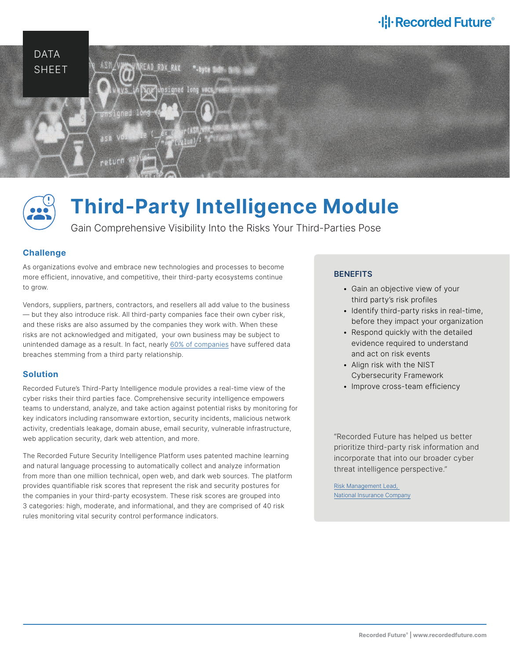# ·l: **I** Recorded Future®





# **Third-Party Intelligence Module**

Gain Comprehensive Visibility Into the Risks Your Third-Parties Pose

## **Challenge**

As organizations evolve and embrace new technologies and processes to become more efficient, innovative, and competitive, their third-party ecosystems continue to grow.

Vendors, suppliers, partners, contractors, and resellers all add value to the business — but they also introduce risk. All third-party companies face their own cyber risk, and these risks are also assumed by the companies they work with. When these risks are not acknowledged and mitigated, your own business may be subject to unintended damage as a result. In fact, nearly [60% of companies](https://www.businesswire.com/news/home/20181115005665/en/Opus-Ponemon-Institute-Announce-Results-2018-Third-Party) have suffered data breaches stemming from a third party relationship.

## **Solution**

Recorded Future's Third-Party Intelligence module provides a real-time view of the cyber risks their third parties face. Comprehensive security intelligence empowers teams to understand, analyze, and take action against potential risks by monitoring for key indicators including ransomware extortion, security incidents, malicious network activity, credentials leakage, domain abuse, email security, vulnerable infrastructure, web application security, dark web attention, and more.

The Recorded Future Security Intelligence Platform uses patented machine learning and natural language processing to automatically collect and analyze information from more than one million technical, open web, and dark web sources. The platform provides quantifiable risk scores that represent the risk and security postures for the companies in your third-party ecosystem. These risk scores are grouped into 3 categories: high, moderate, and informational, and they are comprised of 40 risk rules monitoring vital security control performance indicators.

## **BENEFITS**

- Gain an objective view of your third party's risk profiles
- Identify third-party risks in real-time, before they impact your organization
- Respond quickly with the detailed evidence required to understand and act on risk events
- Align risk with the NIST Cybersecurity Framework
- Improve cross-team efficiency

"Recorded Future has helped us better prioritize third-party risk information and incorporate that into our broader cyber threat intelligence perspective."

[Risk Management Lead,](https://go.recordedfuture.com/hubfs/insurance-case-study.pdf)  [National Insurance Company](https://go.recordedfuture.com/hubfs/insurance-case-study.pdf)